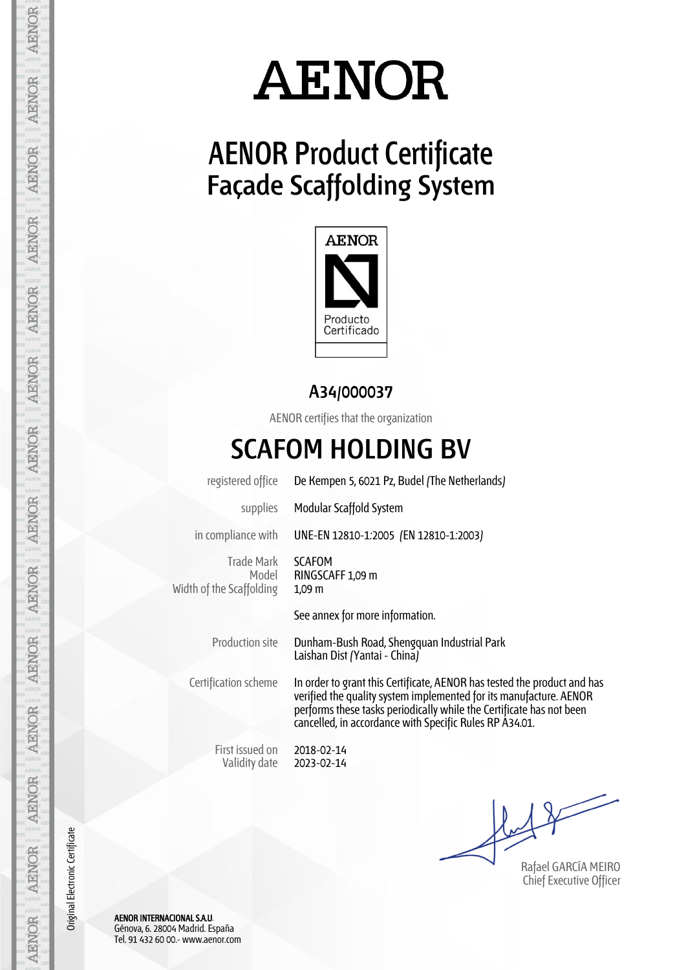### **AENOR Product Certificate Façade Scaffolding System**



**A34/000037**

AENOR certifies that the organization

#### **SCAFOM HOLDING BV**

registered office De Kempen 5, 6021 Pz, Budel (The Netherlands)

supplies Modular Scaffold System

in compliance with UNE-EN 12810-1:2005 (EN 12810-1:2003)

Trade Mark Model Width of the Scaffolding

SCAFOM RINGSCAFF 1,09 m 1,09 m

See annex for more information.

Production site Dunham-Bush Road, Shengquan Industrial Park Laishan Dist (Yantai - China)

Certification scheme In order to grant this Certificate, AENOR has tested the product and has verified the quality system implemented for its manufacture. AENOR performs these tasks periodically while the Certificate has not been cancelled, in accordance with Specific Rules RP A34.01.

First issued on Validity date

2018-02-14 2023-02-14

Rafael GARCÍA MEIRO Chief Executive Officer

AENOR INTERNACIONAL S.A.U. Génova, 6. 28004 Madrid. España Tel. 91 432 60 00.- www.aenor.com

AENOR

Original Electronic Certificate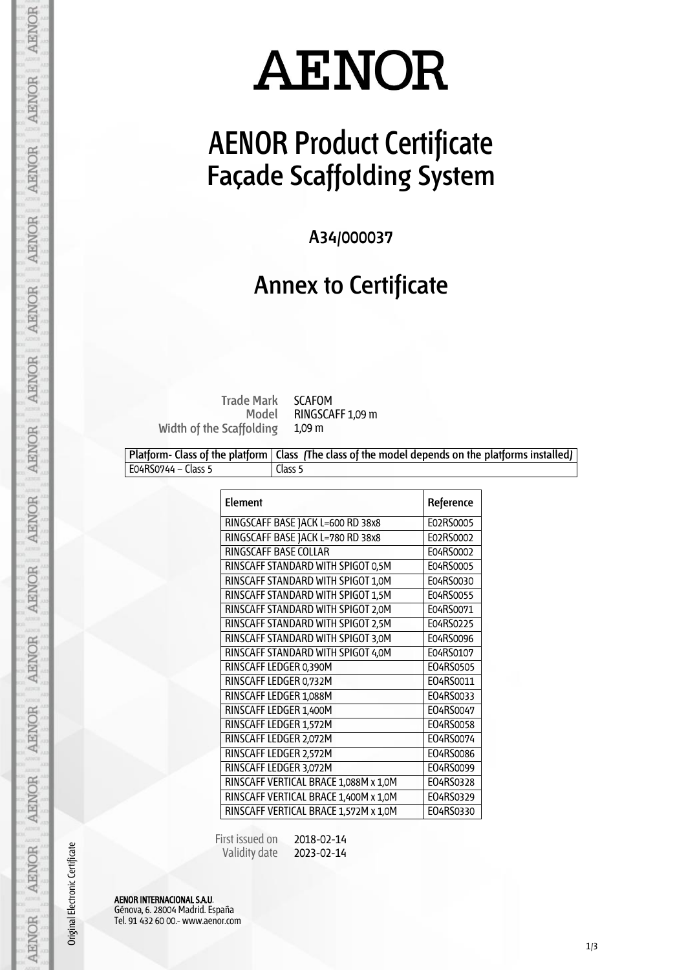### **AENOR Product Certificate Façade Scaffolding System**

**A34/000037**

#### **Annex to Certificate**

**Trade Mark Model Width of the Scaffolding**

SCAFOM RINGSCAFF 1,09 m 1,09 m

|                     | Platform- Class of the platform   Class The class of the model depends on the platforms installed) |
|---------------------|----------------------------------------------------------------------------------------------------|
| E04RS0744 – Class 5 | Class 5                                                                                            |

| <b>Element</b>                        | Reference |
|---------------------------------------|-----------|
| RINGSCAFF BASE JACK L=600 RD 38x8     | E02RS0005 |
| RINGSCAFF BASE JACK L=780 RD 38x8     | E02RS0002 |
| <b>RINGSCAFF BASE COLLAR</b>          | E04RS0002 |
| RINSCAFF STANDARD WITH SPIGOT 0,5M    | E04RS0005 |
| RINSCAFF STANDARD WITH SPIGOT 1,0M    | E04RS0030 |
| RINSCAFF STANDARD WITH SPIGOT 1,5M    | E04RS0055 |
| RINSCAFF STANDARD WITH SPIGOT 2,0M    | E04RS0071 |
| RINSCAFF STANDARD WITH SPIGOT 2,5M    | E04RS0225 |
| RINSCAFF STANDARD WITH SPIGOT 3,0M    | E04RS0096 |
| RINSCAFF STANDARD WITH SPIGOT 4,0M    | E04RS0107 |
| RINSCAFF LEDGER 0,390M                | E04RS0505 |
| RINSCAFF LEDGER 0,732M                | E04RS0011 |
| RINSCAFF LEDGER 1,088M                | E04RS0033 |
| RINSCAFF LEDGER 1,400M                | E04RS0047 |
| RINSCAFF LEDGER 1,572M                | E04RS0058 |
| RINSCAFF LEDGER 2,072M                | E04RS0074 |
| RINSCAFF LEDGER 2,572M                | E04RS0086 |
| RINSCAFF LEDGER 3,072M                | E04RS0099 |
| RINSCAFF VERTICAL BRACE 1,088M x 1,0M | E04RS0328 |
| RINSCAFF VERTICAL BRACE 1,400M x 1,0M | E04RS0329 |
| RINSCAFF VERTICAL BRACE 1,572M x 1,0M | E04RS0330 |

 First issued on Validity date 2018-02-14 2023-02-14

AENOR INTERNACIONAL S.A.U. Génova, 6. 28004 Madrid. España Tel. 91 432 60 00.- www.aenor.com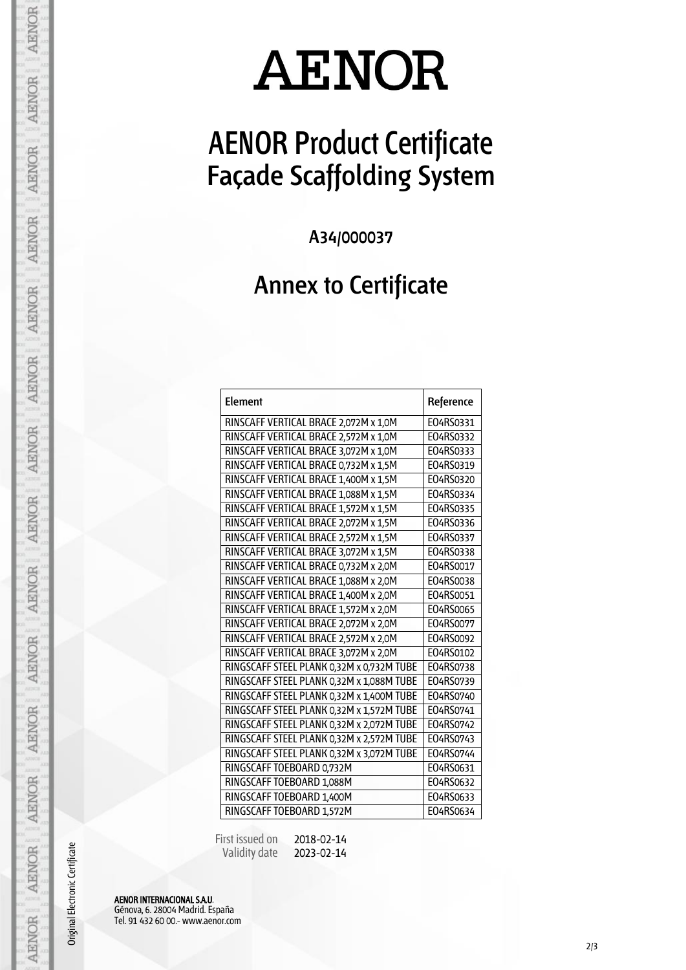## **AENOR Product Certificate Façade Scaffolding System**

**A34/000037**

#### **Annex to Certificate**

| Element                                   | Reference |
|-------------------------------------------|-----------|
| RINSCAFF VERTICAL BRACE 2,072M x 1,0M     | E04RS0331 |
| RINSCAFF VERTICAL BRACE 2,572M x 1,0M     | E04RS0332 |
| RINSCAFF VERTICAL BRACE 3,072M x 1,0M     | E04RS0333 |
| RINSCAFF VERTICAL BRACE 0,732M x 1,5M     | E04RS0319 |
| RINSCAFF VERTICAL BRACE 1,400M x 1,5M     | E04RS0320 |
| RINSCAFF VERTICAL BRACE 1,088M x 1,5M     | E04RS0334 |
| RINSCAFF VERTICAL BRACE 1,572M x 1,5M     | E04RS0335 |
| RINSCAFF VERTICAL BRACE 2,072M x 1,5M     | E04RS0336 |
| RINSCAFF VERTICAL BRACE 2,572M x 1,5M     | E04RS0337 |
| RINSCAFF VERTICAL BRACE 3,072M x 1,5M     | E04RS0338 |
| RINSCAFF VERTICAL BRACE 0,732M x 2,0M     | E04RS0017 |
| RINSCAFF VERTICAL BRACE 1,088M x 2,0M     | E04RS0038 |
| RINSCAFF VERTICAL BRACE 1,400M x 2,0M     | E04RS0051 |
| RINSCAFF VERTICAL BRACE 1,572M x 2,0M     | E04RS0065 |
| RINSCAFF VERTICAL BRACE 2,072M x 2,0M     | E04RS0077 |
| RINSCAFF VERTICAL BRACE 2,572M x 2,0M     | E04RS0092 |
| RINSCAFF VERTICAL BRACE 3,072M x 2,0M     | E04RS0102 |
| RINGSCAFF STEEL PLANK 0,32M x 0,732M TUBE | E04RS0738 |
| RINGSCAFF STEEL PLANK 0,32M x 1,088M TUBE | E04RS0739 |
| RINGSCAFF STEEL PLANK 0,32M x 1,400M TUBE | E04RS0740 |
| RINGSCAFF STEEL PLANK 0,32M x 1,572M TUBE | E04RS0741 |
| RINGSCAFF STEEL PLANK 0,32M x 2,072M TUBE | E04RS0742 |
| RINGSCAFF STEEL PLANK 0,32M x 2,572M TUBE | E04RS0743 |
| RINGSCAFF STEEL PLANK 0,32M x 3,072M TUBE | E04RS0744 |
| RINGSCAFF TOEBOARD 0,732M                 | E04RS0631 |
| RINGSCAFF TOEBOARD 1,088M                 | E04RS0632 |
| RINGSCAFF TOEBOARD 1,400M                 | E04RS0633 |
| RINGSCAFF TOEBOARD 1,572M                 | E04RS0634 |

 First issued on Validity date 2018-02-14 2023-02-14

AENOR INTERNACIONAL S.A.U. Génova, 6. 28004 Madrid. España Tel. 91 432 60 00.- www.aenor.com